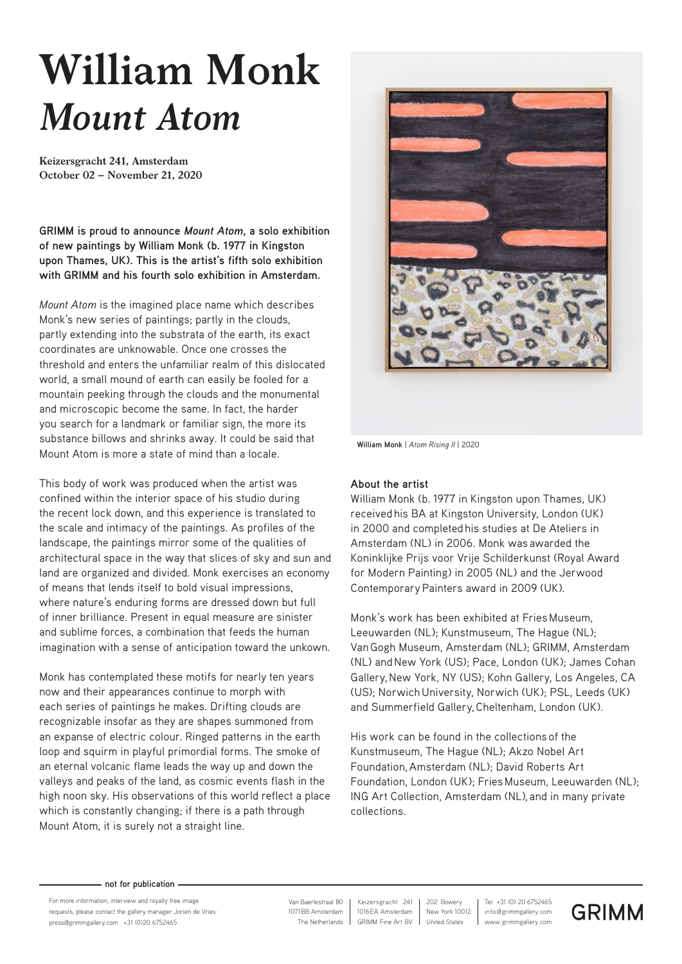## **William Monk** *Mount Atom*

**Keizersgracht 241, Amsterdam October 02 – November 21, 2020**

**GRIMM is proud to announce** *Mount Atom***, a solo exhibition of new paintings by William Monk (b. 1977 in Kingston upon Thames, UK). This is the artist's fifth solo exhibition with GRIMM and his fourth solo exhibition in Amsterdam.** 

*Mount Atom* is the imagined place name which describes Monk's new series of paintings; partly in the clouds, partly extending into the substrata of the earth, its exact coordinates are unknowable. Once one crosses the threshold and enters the unfamiliar realm of this dislocated world, a small mound of earth can easily be fooled for a mountain peeking through the clouds and the monumental and microscopic become the same. In fact, the harder you search for a landmark or familiar sign, the more its substance billows and shrinks away. It could be said that Mount Atom is more a state of mind than a locale.

This body of work was produced when the artist was confined within the interior space of his studio during the recent lock down, and this experience is translated to the scale and intimacy of the paintings. As profiles of the landscape, the paintings mirror some of the qualities of architectural space in the way that slices of sky and sun and land are organized and divided. Monk exercises an economy of means that lends itself to bold visual impressions, where nature's enduring forms are dressed down but full of inner brilliance. Present in equal measure are sinister and sublime forces, a combination that feeds the human imagination with a sense of anticipation toward the unkown.

Monk has contemplated these motifs for nearly ten years now and their appearances continue to morph with each series of paintings he makes. Drifting clouds are recognizable insofar as they are shapes summoned from an expanse of electric colour. Ringed patterns in the earth loop and squirm in playful primordial forms. The smoke of an eternal volcanic flame leads the way up and down the valleys and peaks of the land, as cosmic events flash in the high noon sky. His observations of this world reflect a place which is constantly changing; if there is a path through Mount Atom, it is surely not a straight line.



**William Monk** | *Atom Rising II* | 2020

## **About the artist**

William Monk (b. 1977 in Kingston upon Thames, UK) received his BA at Kingston University, London (UK) in 2000 and completed his studies at De Ateliers in Amsterdam (NL) in 2006. Monk was awarded the Koninklijke Prijs voor Vrije Schilderkunst (Royal Award for Modern Painting) in 2005 (NL) and the Jerwood Contemporary Painters award in 2009 (UK).

Monk's work has been exhibited at Fries Museum, Leeuwarden (NL); Kunstmuseum, The Hague (NL); Van Gogh Museum, Amsterdam (NL); GRIMM, Amsterdam (NL) and New York (US); Pace, London (UK); James Cohan Gallery, New York, NY (US); Kohn Gallery, Los Angeles, CA (US); Norwich University, Norwich (UK); PSL, Leeds (UK) and Summerfield Gallery, Cheltenham, London (UK).

His work can be found in the collections of the Kunstmuseum, The Hague (NL); Akzo Nobel Art Foundation, Amsterdam (NL); David Roberts Art Foundation, London (UK); Fries Museum, Leeuwarden (NL); ING Art Collection, Amsterdam (NL), and in many private collections.

## **not for publication**

For more information, interview and royalty free image requests, please contact the gallery manager Jorien de Vries: press@grimmgallery.com +31 (0)20 6752465 www.grimmgallery.com

 1071BB Amsterdam Van Baerlestraat 80 The Netherlands

1016EA Amsterdam Keizersgracht 241 GRIMM Fine Art BV

info@grimmgallery.com Tel +31 (0) 20 6752465 New York 10012 202 Bowery United States

**GRIMM**